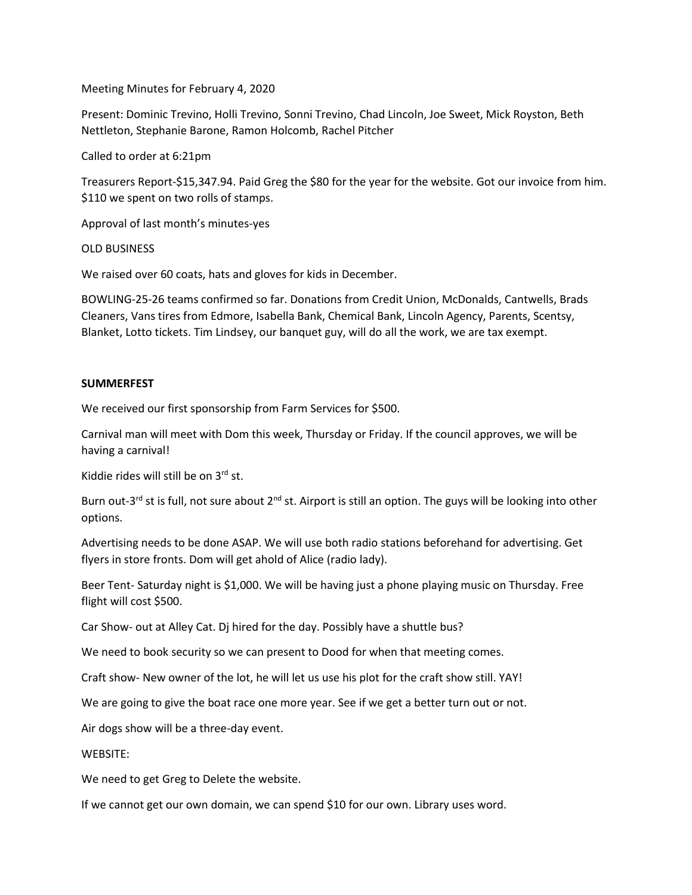Meeting Minutes for February 4, 2020

Present: Dominic Trevino, Holli Trevino, Sonni Trevino, Chad Lincoln, Joe Sweet, Mick Royston, Beth Nettleton, Stephanie Barone, Ramon Holcomb, Rachel Pitcher

Called to order at 6:21pm

Treasurers Report-\$15,347.94. Paid Greg the \$80 for the year for the website. Got our invoice from him. \$110 we spent on two rolls of stamps.

Approval of last month's minutes-yes

OLD BUSINESS

We raised over 60 coats, hats and gloves for kids in December.

BOWLING-25-26 teams confirmed so far. Donations from Credit Union, McDonalds, Cantwells, Brads Cleaners, Vans tires from Edmore, Isabella Bank, Chemical Bank, Lincoln Agency, Parents, Scentsy, Blanket, Lotto tickets. Tim Lindsey, our banquet guy, will do all the work, we are tax exempt.

## **SUMMERFEST**

We received our first sponsorship from Farm Services for \$500.

Carnival man will meet with Dom this week, Thursday or Friday. If the council approves, we will be having a carnival!

Kiddie rides will still be on 3rd st.

Burn out-3<sup>rd</sup> st is full, not sure about 2<sup>nd</sup> st. Airport is still an option. The guys will be looking into other options.

Advertising needs to be done ASAP. We will use both radio stations beforehand for advertising. Get flyers in store fronts. Dom will get ahold of Alice (radio lady).

Beer Tent- Saturday night is \$1,000. We will be having just a phone playing music on Thursday. Free flight will cost \$500.

Car Show- out at Alley Cat. Dj hired for the day. Possibly have a shuttle bus?

We need to book security so we can present to Dood for when that meeting comes.

Craft show- New owner of the lot, he will let us use his plot for the craft show still. YAY!

We are going to give the boat race one more year. See if we get a better turn out or not.

Air dogs show will be a three-day event.

WEBSITE:

We need to get Greg to Delete the website.

If we cannot get our own domain, we can spend \$10 for our own. Library uses word.